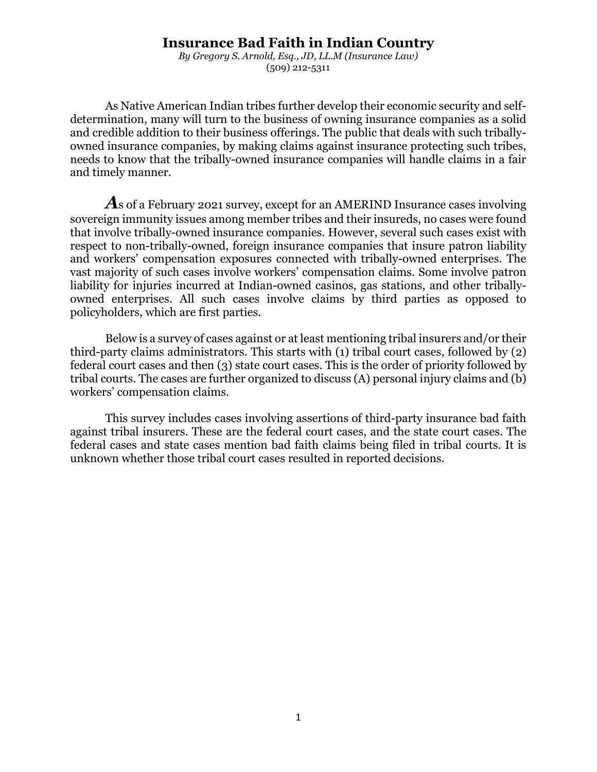# **Insurance Bad Faith in Indian Country**

*By Gregory S. Arnold, Esq., JD, LL.M (Insurance Law)* (509) 212-5311

As Native American Indian tribes further develop their economic security and selfdetermination, many will turn to the business of owning insurance companies as a solid and credible addition to their business offerings. The public that deals with such triballyowned insurance companies, by making claims against insurance protecting such tribes, needs to know that the tribally-owned insurance companies will handle claims in a fair and timely manner.

*A*s of a February 2021 survey, except for an AMERIND Insurance cases involving sovereign immunity issues among member tribes and their insureds, no cases were found that involve tribally-owned insurance companies. However, several such cases exist with respect to non-tribally-owned, foreign insurance companies that insure patron liability and workers' compensation exposures connected with tribally-owned enterprises. The vast majority of such cases involve workers' compensation claims. Some involve patron liability for injuries incurred at Indian-owned casinos, gas stations, and other triballyowned enterprises. All such cases involve claims by third parties as opposed to policyholders, which are first parties.

Below is a survey of cases against or at least mentioning tribal insurers and/or their third-party claims administrators. This starts with (1) tribal court cases, followed by (2) federal court cases and then (3) state court cases. This is the order of priority followed by tribal courts. The cases are further organized to discuss (A) personal injury claims and (b) workers' compensation claims.

This survey includes cases involving assertions of third-party insurance bad faith against tribal insurers. These are the federal court cases, and the state court cases. The federal cases and state cases mention bad faith claims being filed in tribal courts. It is unknown whether those tribal court cases resulted in reported decisions.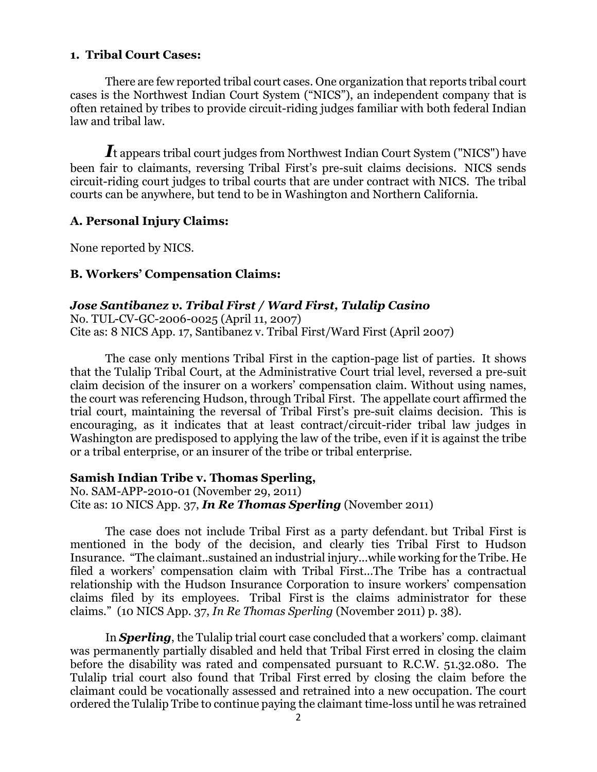## **1. Tribal Court Cases:**

There are few reported tribal court cases. One organization that reports tribal court cases is the Northwest Indian Court System ("NICS"), an independent company that is often retained by tribes to provide circuit-riding judges familiar with both federal Indian law and tribal law.

*I*t appears tribal court judges from Northwest Indian Court System ("NICS") have been fair to claimants, reversing Tribal First's pre-suit claims decisions. NICS sends circuit-riding court judges to tribal courts that are under contract with NICS. The tribal courts can be anywhere, but tend to be in Washington and Northern California.

#### **A. Personal Injury Claims:**

None reported by NICS.

### **B. Workers' Compensation Claims:**

### *Jose Santibanez v. Tribal First / Ward First, Tulalip Casino*

No. TUL-CV-GC-2006-0025 (April 11, 2007) Cite as: 8 NICS App. 17, Santibanez v. Tribal First/Ward First (April 2007)

The case only mentions Tribal First in the caption-page list of parties. It shows that the Tulalip Tribal Court, at the Administrative Court trial level, reversed a pre-suit claim decision of the insurer on a workers' compensation claim. Without using names, the court was referencing Hudson, through Tribal First. The appellate court affirmed the trial court, maintaining the reversal of Tribal First's pre-suit claims decision. This is encouraging, as it indicates that at least contract/circuit-rider tribal law judges in Washington are predisposed to applying the law of the tribe, even if it is against the tribe or a tribal enterprise, or an insurer of the tribe or tribal enterprise.

### **Samish Indian Tribe v. Thomas Sperling,**

No. SAM-APP-2010-01 (November 29, 2011) Cite as: 10 NICS App. 37, *In Re Thomas Sperling* (November 2011)

The case does not include Tribal First as a party defendant. but Tribal First is mentioned in the body of the decision, and clearly ties Tribal First to Hudson Insurance. "The claimant..sustained an industrial injury...while working for the Tribe. He filed a workers' compensation claim with Tribal First...The Tribe has a contractual relationship with the Hudson Insurance Corporation to insure workers' compensation claims filed by its employees. Tribal First is the claims administrator for these claims." (10 NICS App. 37, *In Re Thomas Sperling* (November 2011) p. 38).

In *Sperling*, the Tulalip trial court case concluded that a workers' comp. claimant was permanently partially disabled and held that Tribal First erred in closing the claim before the disability was rated and compensated pursuant to R.C.W. 51.32.080. The Tulalip trial court also found that Tribal First erred by closing the claim before the claimant could be vocationally assessed and retrained into a new occupation. The court ordered the Tulalip Tribe to continue paying the claimant time-loss until he was retrained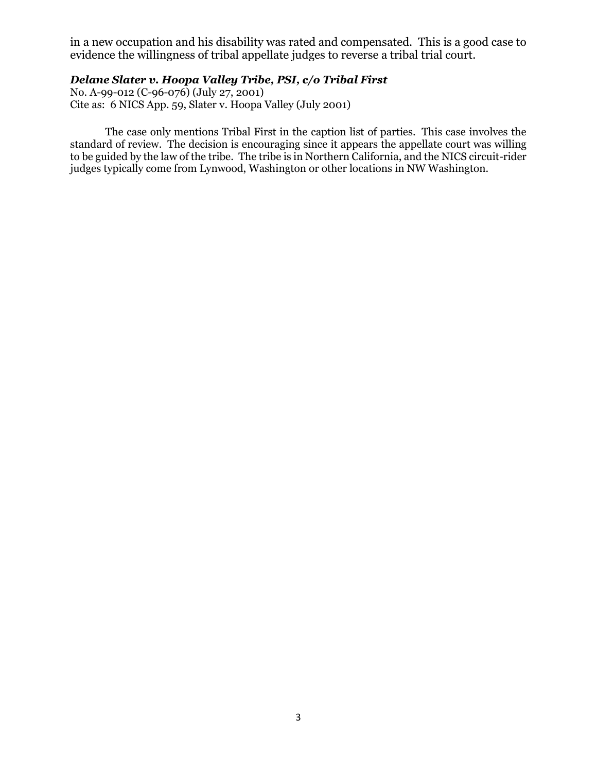in a new occupation and his disability was rated and compensated. This is a good case to evidence the willingness of tribal appellate judges to reverse a tribal trial court.

#### *Delane Slater v. Hoopa Valley Tribe, PSI, c/o Tribal First*

No. A-99-012 (C-96-076) (July 27, 2001) Cite as: 6 NICS App. 59, Slater v. Hoopa Valley (July 2001)

The case only mentions Tribal First in the caption list of parties. This case involves the standard of review. The decision is encouraging since it appears the appellate court was willing to be guided by the law of the tribe. The tribe is in Northern California, and the NICS circuit-rider judges typically come from Lynwood, Washington or other locations in NW Washington.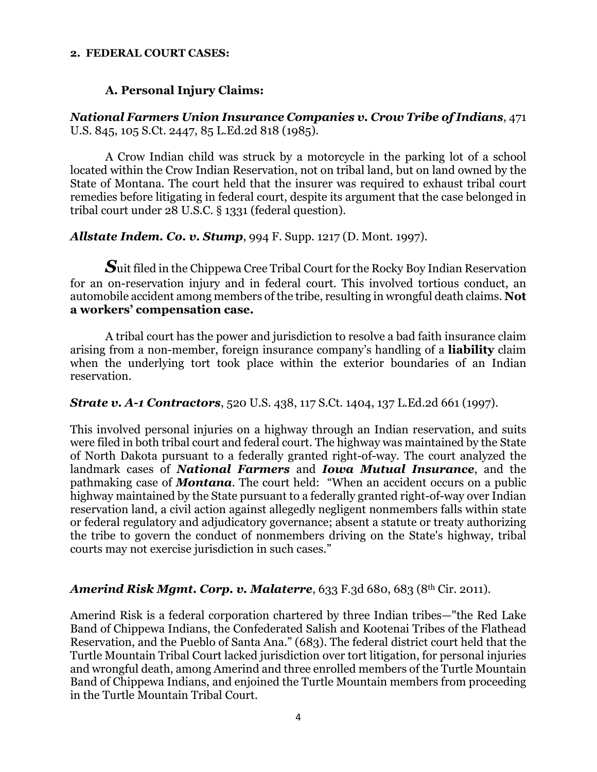#### **2. FEDERAL COURT CASES:**

## **A. Personal Injury Claims:**

*National Farmers Union Insurance Companies v. Crow Tribe of Indians*, 471 U.S. 845, 105 S.Ct. 2447, 85 L.Ed.2d 818 (1985).

A Crow Indian child was struck by a motorcycle in the parking lot of a school located within the Crow Indian Reservation, not on tribal land, but on land owned by the State of Montana. The court held that the insurer was required to exhaust tribal court remedies before litigating in federal court, despite its argument that the case belonged in tribal court under 28 U.S.C. § 1331 (federal question).

*Allstate Indem. Co. v. Stump*, 994 F. Supp. 1217 (D. Mont. 1997).

*S*uit filed in the Chippewa Cree Tribal Court for the Rocky Boy Indian Reservation for an on-reservation injury and in federal court. This involved tortious conduct, an automobile accident among members of the tribe, resulting in wrongful death claims. **Not a workers' compensation case.**

A tribal court has the power and jurisdiction to resolve a bad faith insurance claim arising from a non-member, foreign insurance company's handling of a **liability** claim when the underlying tort took place within the exterior boundaries of an Indian reservation.

*Strate v. A-1 Contractors*, 520 U.S. 438, 117 S.Ct. 1404, 137 L.Ed.2d 661 (1997).

This involved personal injuries on a highway through an Indian reservation, and suits were filed in both tribal court and federal court. The highway was maintained by the State of North Dakota pursuant to a federally granted right-of-way. The court analyzed the landmark cases of *National Farmers* and *Iowa Mutual Insurance*, and the pathmaking case of *Montana*. The court held: "When an accident occurs on a public highway maintained by the State pursuant to a federally granted right-of-way over Indian reservation land, a civil action against allegedly negligent nonmembers falls within state or federal regulatory and adjudicatory governance; absent a statute or treaty authorizing the tribe to govern the conduct of nonmembers driving on the State's highway, tribal courts may not exercise jurisdiction in such cases."

### *Amerind Risk Mgmt. Corp. v. Malaterre*, 633 F.3d 680, 683 (8th Cir. 2011).

Amerind Risk is a federal corporation chartered by three Indian tribes—"the Red Lake Band of Chippewa Indians, the Confederated Salish and Kootenai Tribes of the Flathead Reservation, and the Pueblo of Santa Ana." (683). The federal district court held that the Turtle Mountain Tribal Court lacked jurisdiction over tort litigation, for personal injuries and wrongful death, among Amerind and three enrolled members of the Turtle Mountain Band of Chippewa Indians, and enjoined the Turtle Mountain members from proceeding in the Turtle Mountain Tribal Court.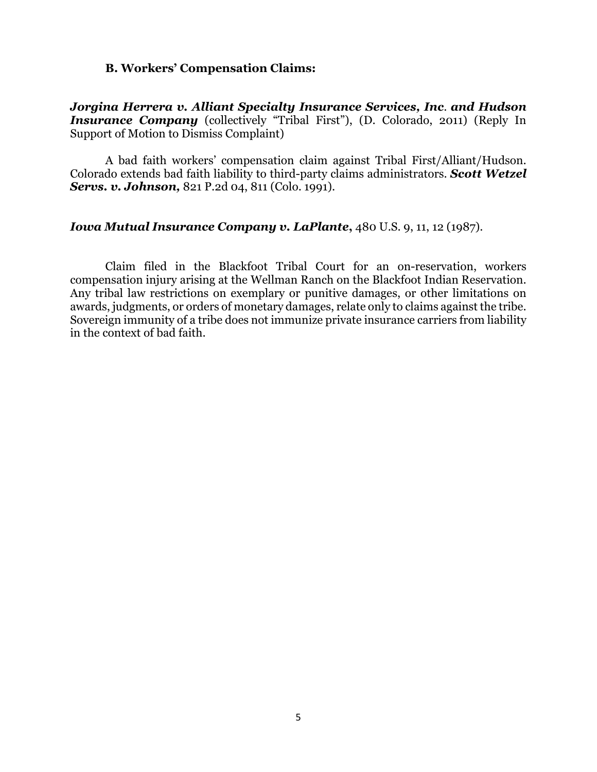#### **B. Workers' Compensation Claims:**

*Jorgina Herrera v. Alliant Specialty Insurance Services, Inc*. *and Hudson Insurance Company* (collectively "Tribal First"), (D. Colorado, 2011) (Reply In Support of Motion to Dismiss Complaint)

A bad faith workers' compensation claim against Tribal First/Alliant/Hudson. Colorado extends bad faith liability to third-party claims administrators. *Scott Wetzel Servs. v. Johnson,* 821 P.2d 04, 811 (Colo. 1991).

## *Iowa Mutual Insurance Company v. LaPlante***,** 480 U.S. 9, 11, 12 (1987).

Claim filed in the Blackfoot Tribal Court for an on-reservation, workers compensation injury arising at the Wellman Ranch on the Blackfoot Indian Reservation. Any tribal law restrictions on exemplary or punitive damages, or other limitations on awards, judgments, or orders of monetary damages, relate only to claims against the tribe. Sovereign immunity of a tribe does not immunize private insurance carriers from liability in the context of bad faith.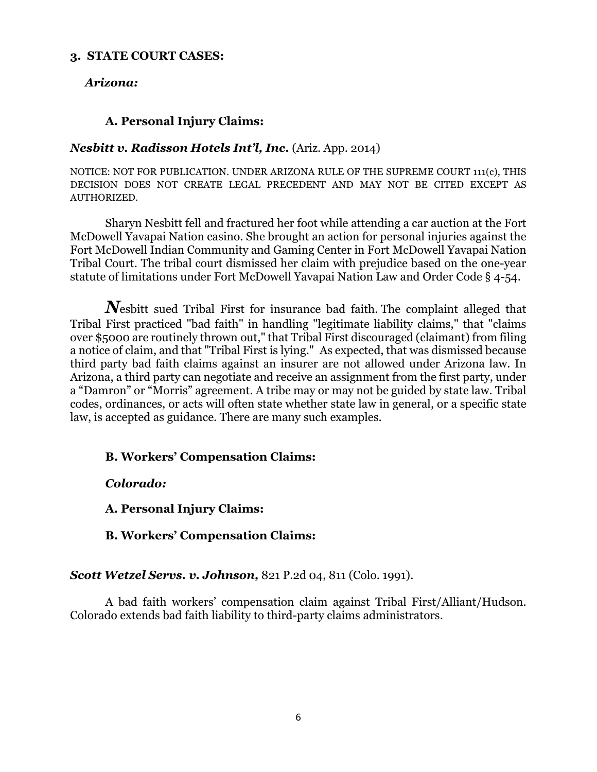## **3. STATE COURT CASES:**

## *Arizona:*

## **A. Personal Injury Claims:**

### *Nesbitt v. Radisson Hotels Int'l, Inc***.** (Ariz. App. 2014)

NOTICE: NOT FOR PUBLICATION. UNDER ARIZONA RULE OF THE SUPREME COURT 111(c), THIS DECISION DOES NOT CREATE LEGAL PRECEDENT AND MAY NOT BE CITED EXCEPT AS AUTHORIZED.

Sharyn Nesbitt fell and fractured her foot while attending a car auction at the Fort McDowell Yavapai Nation casino. She brought an action for personal injuries against the Fort McDowell Indian Community and Gaming Center in Fort McDowell Yavapai Nation Tribal Court. The tribal court dismissed her claim with prejudice based on the one-year statute of limitations under Fort McDowell Yavapai Nation Law and Order Code § 4-54.

*N*esbitt sued Tribal First for insurance bad faith. The complaint alleged that Tribal First practiced "bad faith" in handling "legitimate liability claims," that "claims over \$5000 are routinely thrown out," that Tribal First discouraged (claimant) from filing a notice of claim, and that "Tribal First is lying." As expected, that was dismissed because third party bad faith claims against an insurer are not allowed under Arizona law. In Arizona, a third party can negotiate and receive an assignment from the first party, under a "Damron" or "Morris" agreement. A tribe may or may not be guided by state law. Tribal codes, ordinances, or acts will often state whether state law in general, or a specific state law, is accepted as guidance. There are many such examples.

### **B. Workers' Compensation Claims:**

*Colorado:*

**A. Personal Injury Claims:**

**B. Workers' Compensation Claims:**

*Scott Wetzel Servs. v. Johnson,* 821 P.2d 04, 811 (Colo. 1991).

A bad faith workers' compensation claim against Tribal First/Alliant/Hudson. Colorado extends bad faith liability to third-party claims administrators.